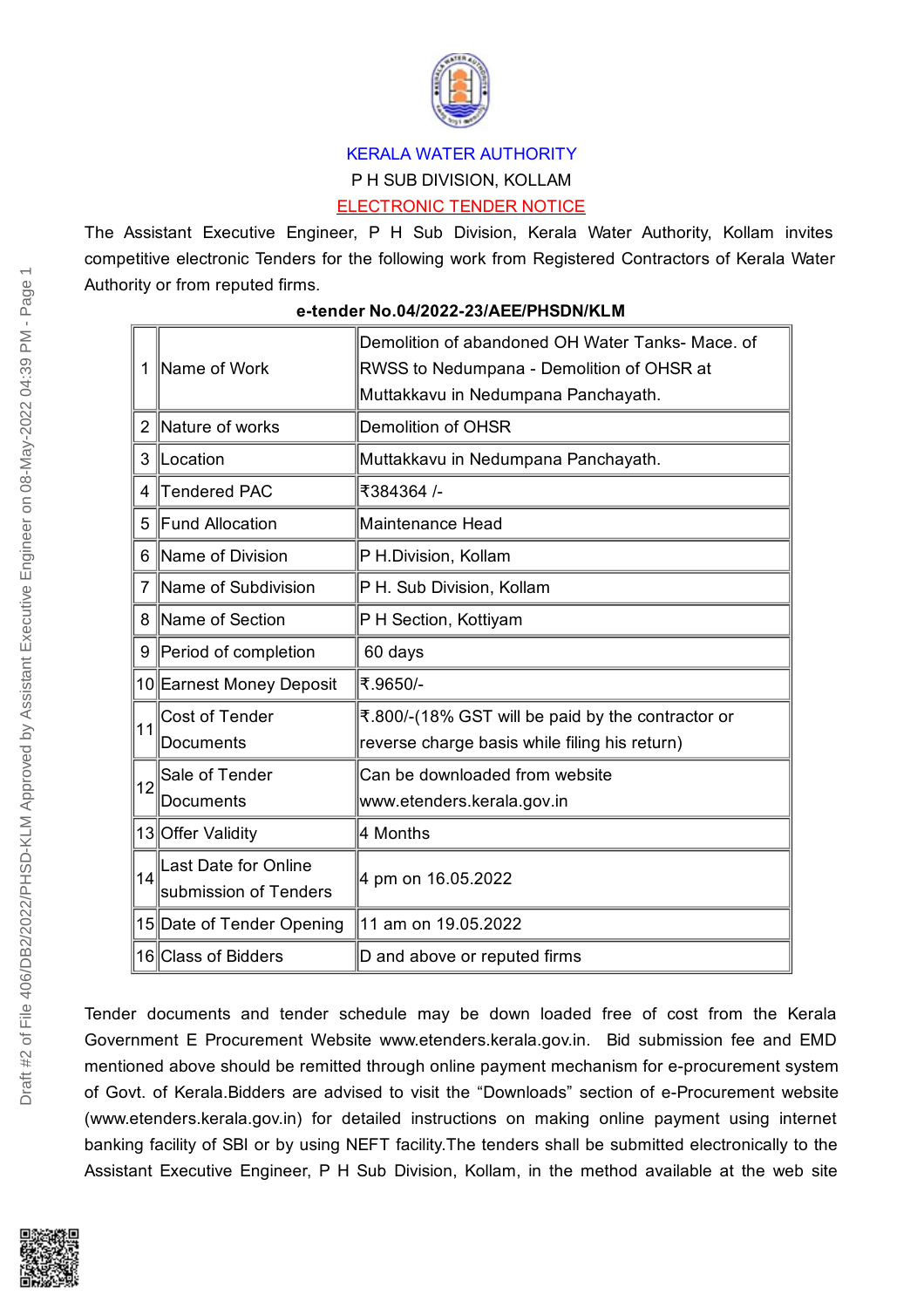

## KERALA WATER AUTHORITY P H SUB DIVISION, KOLLAM ELECTRONIC TENDER NOTICE

The Assistant Executive Engineer, P H Sub Division, Kerala Water Authority, Kollam invites competitive electronic Tenders for the following work from Registered Contractors of Kerala Water Authority or from reputed firms.

|    | Name of Work              | Demolition of abandoned OH Water Tanks- Mace, of  |
|----|---------------------------|---------------------------------------------------|
|    |                           | RWSS to Nedumpana - Demolition of OHSR at         |
|    |                           | Muttakkavu in Nedumpana Panchayath.               |
| 2  | Nature of works           | <b>Demolition of OHSR</b>                         |
| 3  | Location                  | Muttakkavu in Nedumpana Panchayath.               |
| 4  | Tendered PAC              | ₹384364 /-                                        |
| 5  | Fund Allocation           | Maintenance Head                                  |
| 6  | Name of Division          | P H.Division, Kollam                              |
|    | 7 Name of Subdivision     | P H. Sub Division, Kollam                         |
| 8  | Name of Section           | P H Section, Kottiyam                             |
| 9  | Period of completion      | 60 days                                           |
|    | 10 Earnest Money Deposit  | ₹.9650/-                                          |
| 11 | Cost of Tender            | ₹.800/-(18% GST will be paid by the contractor or |
|    | <b>Documents</b>          | reverse charge basis while filing his return)     |
| 12 | Sale of Tender            | Can be downloaded from website                    |
|    | Documents                 | www.etenders.kerala.gov.in                        |
|    | 13 Offer Validity         | 4 Months                                          |
| 14 | Last Date for Online      | 4 pm on 16.05.2022                                |
|    | submission of Tenders     |                                                   |
|    | 15 Date of Tender Opening | 11 am on 19.05.2022                               |
|    | 16 Class of Bidders       | D and above or reputed firms                      |
|    |                           |                                                   |

**e-tender No.04/2022-23/AEE/PHSDN/KLM**

Tender documents and tender schedule may be down loaded free of cost from the Kerala Government E Procurement Website www.etenders.kerala.gov.in. Bid submission fee and EMD mentioned above should be remitted through online payment mechanism for e-procurement system of Govt. of Kerala.Bidders are advised to visit the "Downloads" section of e-Procurement website (www.etenders.kerala.gov.in) for detailed instructions on making online payment using internet banking facility of SBI or by using NEFT facility.The tenders shall be submitted electronically to the Assistant Executive Engineer, P H Sub Division, Kollam, in the method available at the web site